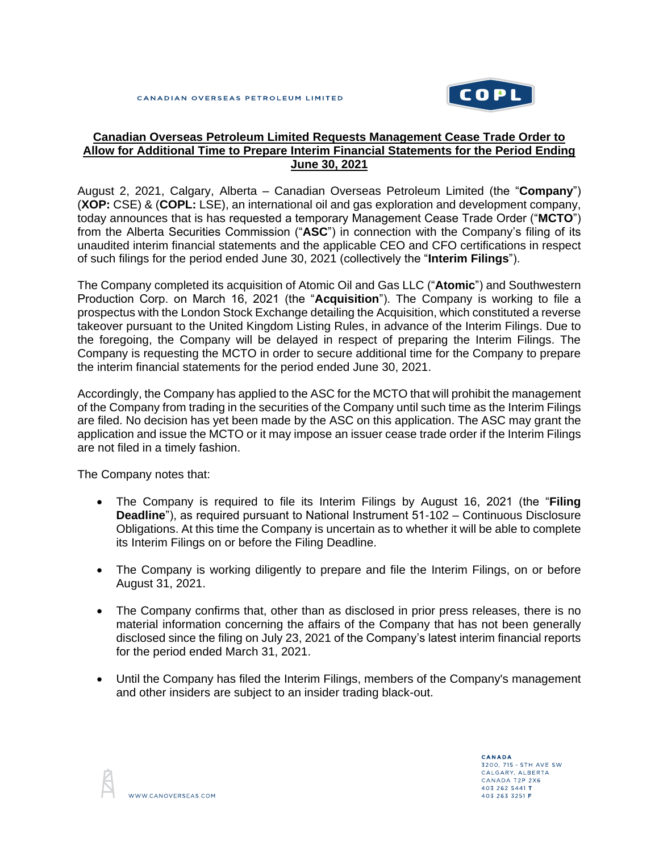

## **Canadian Overseas Petroleum Limited Requests Management Cease Trade Order to Allow for Additional Time to Prepare Interim Financial Statements for the Period Ending June 30, 2021**

August 2, 2021, Calgary, Alberta – Canadian Overseas Petroleum Limited (the "**Company**") (**XOP:** CSE) & (**COPL:** LSE), an international oil and gas exploration and development company, today announces that is has requested a temporary Management Cease Trade Order ("**MCTO**") from the Alberta Securities Commission ("**ASC**") in connection with the Company's filing of its unaudited interim financial statements and the applicable CEO and CFO certifications in respect of such filings for the period ended June 30, 2021 (collectively the "**Interim Filings**").

The Company completed its acquisition of Atomic Oil and Gas LLC ("**Atomic**") and Southwestern Production Corp. on March 16, 2021 (the "**Acquisition**"). The Company is working to file a prospectus with the London Stock Exchange detailing the Acquisition, which constituted a reverse takeover pursuant to the United Kingdom Listing Rules, in advance of the Interim Filings. Due to the foregoing, the Company will be delayed in respect of preparing the Interim Filings. The Company is requesting the MCTO in order to secure additional time for the Company to prepare the interim financial statements for the period ended June 30, 2021.

Accordingly, the Company has applied to the ASC for the MCTO that will prohibit the management of the Company from trading in the securities of the Company until such time as the Interim Filings are filed. No decision has yet been made by the ASC on this application. The ASC may grant the application and issue the MCTO or it may impose an issuer cease trade order if the Interim Filings are not filed in a timely fashion.

The Company notes that:

- The Company is required to file its Interim Filings by August 16, 2021 (the "**Filing Deadline**"), as required pursuant to National Instrument 51-102 – Continuous Disclosure Obligations. At this time the Company is uncertain as to whether it will be able to complete its Interim Filings on or before the Filing Deadline.
- The Company is working diligently to prepare and file the Interim Filings, on or before August 31, 2021.
- The Company confirms that, other than as disclosed in prior press releases, there is no material information concerning the affairs of the Company that has not been generally disclosed since the filing on July 23, 2021 of the Company's latest interim financial reports for the period ended March 31, 2021.
- Until the Company has filed the Interim Filings, members of the Company's management and other insiders are subject to an insider trading black-out.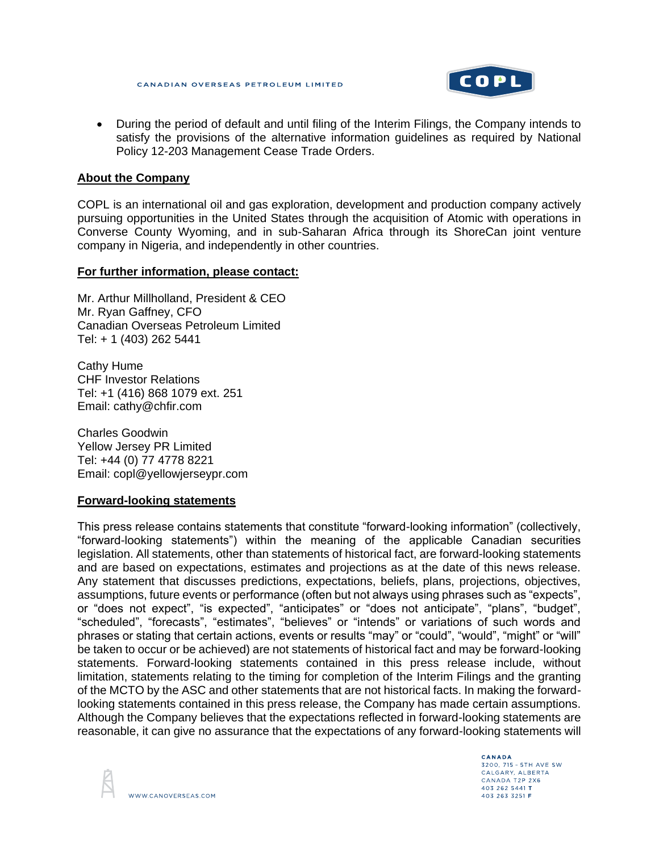

• During the period of default and until filing of the Interim Filings, the Company intends to satisfy the provisions of the alternative information guidelines as required by National Policy 12-203 Management Cease Trade Orders.

## **About the Company**

COPL is an international oil and gas exploration, development and production company actively pursuing opportunities in the United States through the acquisition of Atomic with operations in Converse County Wyoming, and in sub-Saharan Africa through its ShoreCan joint venture company in Nigeria, and independently in other countries.

## **For further information, please contact:**

Mr. Arthur Millholland, President & CEO Mr. Ryan Gaffney, CFO Canadian Overseas Petroleum Limited Tel: + 1 (403) 262 5441

Cathy Hume CHF Investor Relations Tel: +1 (416) 868 1079 ext. 251 Email: cathy@chfir.com

Charles Goodwin Yellow Jersey PR Limited Tel: +44 (0) 77 4778 8221 Email: copl@yellowjerseypr.com

## **Forward-looking statements**

This press release contains statements that constitute "forward-looking information" (collectively, "forward-looking statements") within the meaning of the applicable Canadian securities legislation. All statements, other than statements of historical fact, are forward-looking statements and are based on expectations, estimates and projections as at the date of this news release. Any statement that discusses predictions, expectations, beliefs, plans, projections, objectives, assumptions, future events or performance (often but not always using phrases such as "expects", or "does not expect", "is expected", "anticipates" or "does not anticipate", "plans", "budget", "scheduled", "forecasts", "estimates", "believes" or "intends" or variations of such words and phrases or stating that certain actions, events or results "may" or "could", "would", "might" or "will" be taken to occur or be achieved) are not statements of historical fact and may be forward-looking statements. Forward-looking statements contained in this press release include, without limitation, statements relating to the timing for completion of the Interim Filings and the granting of the MCTO by the ASC and other statements that are not historical facts. In making the forwardlooking statements contained in this press release, the Company has made certain assumptions. Although the Company believes that the expectations reflected in forward-looking statements are reasonable, it can give no assurance that the expectations of any forward-looking statements will



CANADA 3200, 715 - 5TH AVE SW CALGARY, ALBERTA CANADA T2P 2X6 403 262 5441 T 403 263 3251 F